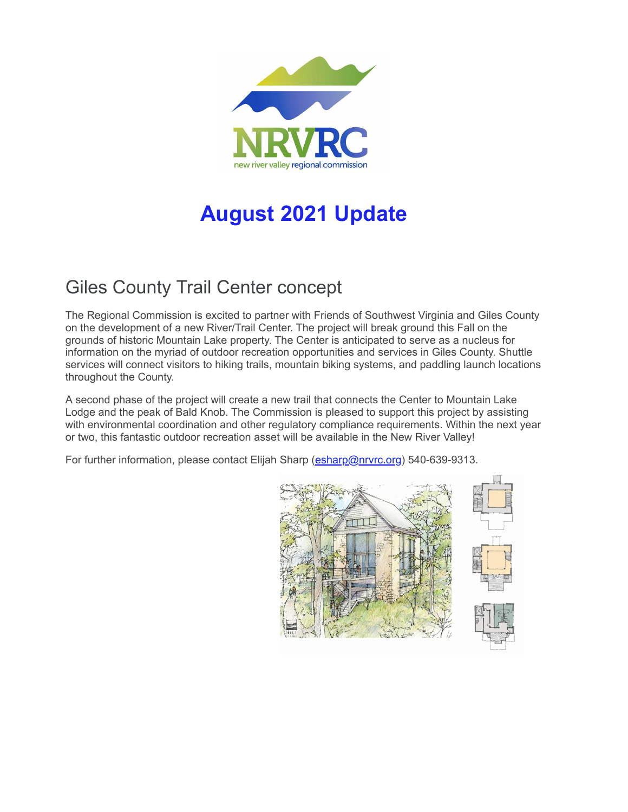

# **August 2021 Update**

## Giles County Trail Center concept

The Regional Commission is excited to partner with Friends of Southwest Virginia and Giles County on the development of a new River/Trail Center. The project will break ground this Fall on the grounds of historic Mountain Lake property. The Center is anticipated to serve as a nucleus for information on the myriad of outdoor recreation opportunities and services in Giles County. Shuttle services will connect visitors to hiking trails, mountain biking systems, and paddling launch locations throughout the County.

A second phase of the project will create a new trail that connects the Center to Mountain Lake Lodge and the peak of Bald Knob. The Commission is pleased to support this project by assisting with environmental coordination and other regulatory compliance requirements. Within the next year or two, this fantastic outdoor recreation asset will be available in the New River Valley!

For further information, please contact Elijah Sharp [\(esharp@nrvrc.org\)](mailto:esharp@nrvrc.org) 540-639-9313.

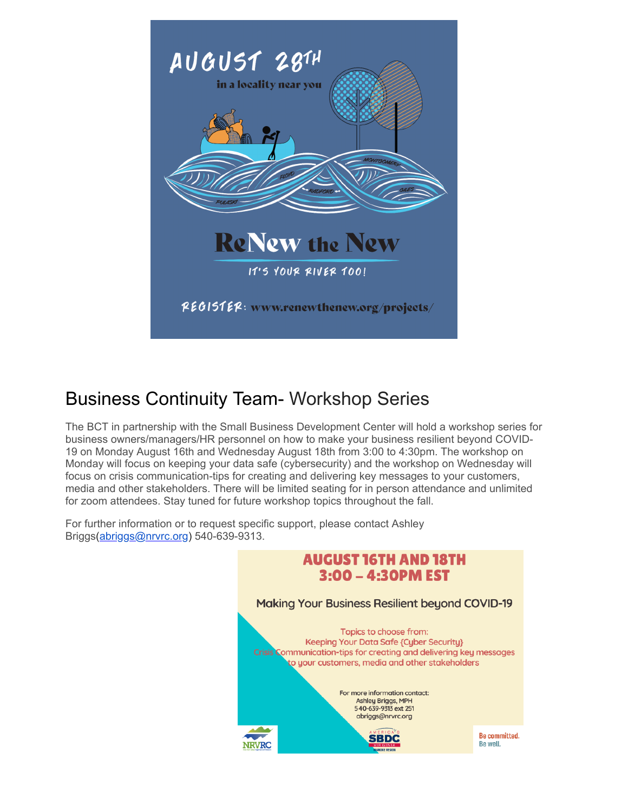

#### Business Continuity Team- Workshop Series

The BCT in partnership with the Small Business Development Center will hold a workshop series for business owners/managers/HR personnel on how to make your business resilient beyond COVID-19 on Monday August 16th and Wednesday August 18th from 3:00 to 4:30pm. The workshop on Monday will focus on keeping your data safe (cybersecurity) and the workshop on Wednesday will focus on crisis communication-tips for creating and delivering key messages to your customers, media and other stakeholders. There will be limited seating for in person attendance and unlimited for zoom attendees. Stay tuned for future workshop topics throughout the fall.

For further information or to request specific support, please contact Ashley Briggs[\(abriggs@nrvrc.org\)](mailto:abriggs@nrvrc.org) 540-639-9313.